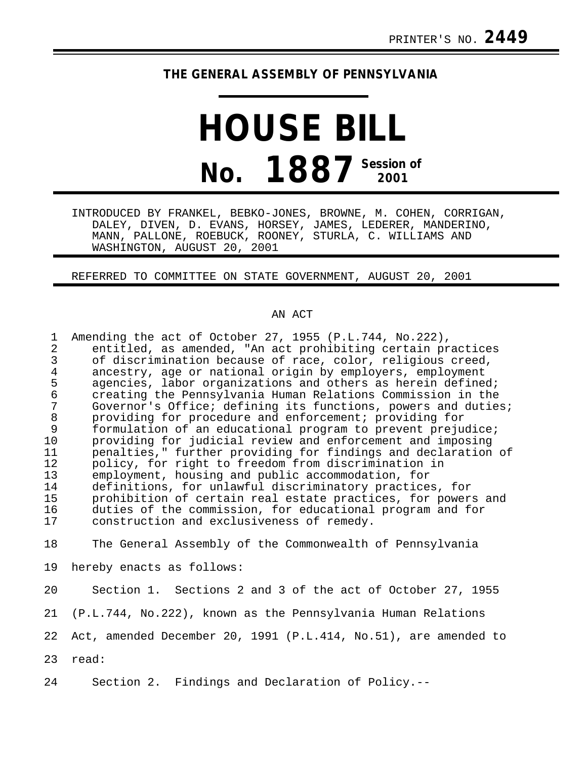## **THE GENERAL ASSEMBLY OF PENNSYLVANIA**

## **HOUSE BILL No. 1887** Session of

INTRODUCED BY FRANKEL, BEBKO-JONES, BROWNE, M. COHEN, CORRIGAN, DALEY, DIVEN, D. EVANS, HORSEY, JAMES, LEDERER, MANDERINO, MANN, PALLONE, ROEBUCK, ROONEY, STURLA, C. WILLIAMS AND WASHINGTON, AUGUST 20, 2001

REFERRED TO COMMITTEE ON STATE GOVERNMENT, AUGUST 20, 2001

## AN ACT

| $\mathbf{1}$<br>2<br>3<br>4<br>5<br>6<br>7<br>8<br>9<br>10<br>11<br>12<br>13<br>14<br>15<br>16<br>17 | Amending the act of October 27, 1955 (P.L.744, No.222),<br>entitled, as amended, "An act prohibiting certain practices<br>of discrimination because of race, color, religious creed,<br>ancestry, age or national origin by employers, employment<br>agencies, labor organizations and others as herein defined;<br>creating the Pennsylvania Human Relations Commission in the<br>Governor's Office; defining its functions, powers and duties;<br>providing for procedure and enforcement; providing for<br>formulation of an educational program to prevent prejudice;<br>providing for judicial review and enforcement and imposing<br>penalties," further providing for findings and declaration of<br>policy, for right to freedom from discrimination in<br>employment, housing and public accommodation, for<br>definitions, for unlawful discriminatory practices, for<br>prohibition of certain real estate practices, for powers and<br>duties of the commission, for educational program and for<br>construction and exclusiveness of remedy. |
|------------------------------------------------------------------------------------------------------|-----------------------------------------------------------------------------------------------------------------------------------------------------------------------------------------------------------------------------------------------------------------------------------------------------------------------------------------------------------------------------------------------------------------------------------------------------------------------------------------------------------------------------------------------------------------------------------------------------------------------------------------------------------------------------------------------------------------------------------------------------------------------------------------------------------------------------------------------------------------------------------------------------------------------------------------------------------------------------------------------------------------------------------------------------------|
| 18                                                                                                   | The General Assembly of the Commonwealth of Pennsylvania                                                                                                                                                                                                                                                                                                                                                                                                                                                                                                                                                                                                                                                                                                                                                                                                                                                                                                                                                                                                  |
| 19                                                                                                   | hereby enacts as follows:                                                                                                                                                                                                                                                                                                                                                                                                                                                                                                                                                                                                                                                                                                                                                                                                                                                                                                                                                                                                                                 |
|                                                                                                      |                                                                                                                                                                                                                                                                                                                                                                                                                                                                                                                                                                                                                                                                                                                                                                                                                                                                                                                                                                                                                                                           |

20 Section 1. Sections 2 and 3 of the act of October 27, 1955 21 (P.L.744, No.222), known as the Pennsylvania Human Relations 22 Act, amended December 20, 1991 (P.L.414, No.51), are amended to 23 read:

24 Section 2. Findings and Declaration of Policy.--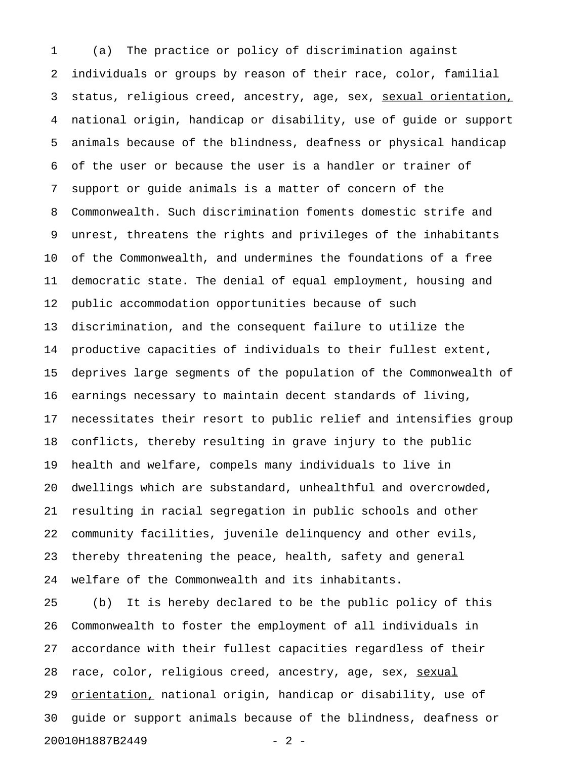1 (a) The practice or policy of discrimination against 2 individuals or groups by reason of their race, color, familial 3 status, religious creed, ancestry, age, sex, sexual orientation, 4 national origin, handicap or disability, use of guide or support 5 animals because of the blindness, deafness or physical handicap 6 of the user or because the user is a handler or trainer of 7 support or guide animals is a matter of concern of the 8 Commonwealth. Such discrimination foments domestic strife and 9 unrest, threatens the rights and privileges of the inhabitants 10 of the Commonwealth, and undermines the foundations of a free 11 democratic state. The denial of equal employment, housing and 12 public accommodation opportunities because of such 13 discrimination, and the consequent failure to utilize the 14 productive capacities of individuals to their fullest extent, 15 deprives large segments of the population of the Commonwealth of 16 earnings necessary to maintain decent standards of living, 17 necessitates their resort to public relief and intensifies group 18 conflicts, thereby resulting in grave injury to the public 19 health and welfare, compels many individuals to live in 20 dwellings which are substandard, unhealthful and overcrowded, 21 resulting in racial segregation in public schools and other 22 community facilities, juvenile delinquency and other evils, 23 thereby threatening the peace, health, safety and general 24 welfare of the Commonwealth and its inhabitants.

25 (b) It is hereby declared to be the public policy of this 26 Commonwealth to foster the employment of all individuals in 27 accordance with their fullest capacities regardless of their 28 race, color, religious creed, ancestry, age, sex, sexual 29 orientation, national origin, handicap or disability, use of 30 guide or support animals because of the blindness, deafness or 20010H1887B2449 - 2 -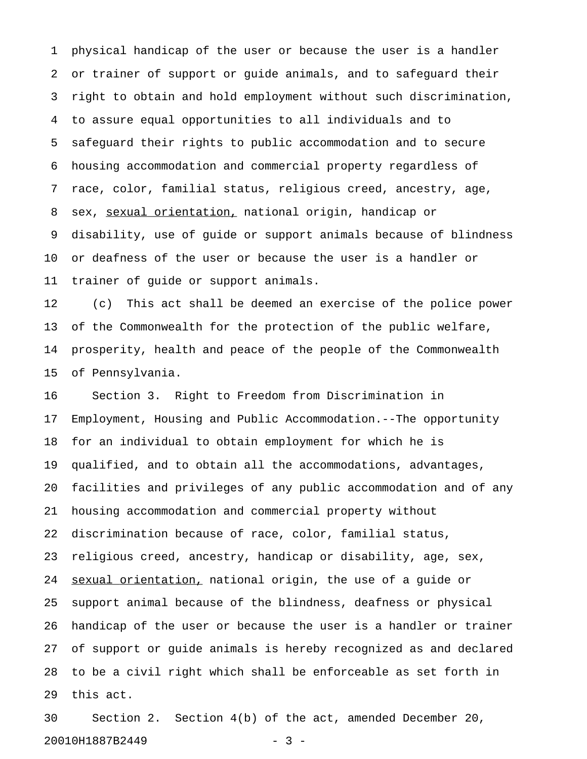1 physical handicap of the user or because the user is a handler 2 or trainer of support or guide animals, and to safeguard their 3 right to obtain and hold employment without such discrimination, 4 to assure equal opportunities to all individuals and to 5 safeguard their rights to public accommodation and to secure 6 housing accommodation and commercial property regardless of 7 race, color, familial status, religious creed, ancestry, age, 8 sex, sexual orientation, national origin, handicap or 9 disability, use of guide or support animals because of blindness 10 or deafness of the user or because the user is a handler or 11 trainer of guide or support animals.

12 (c) This act shall be deemed an exercise of the police power 13 of the Commonwealth for the protection of the public welfare, 14 prosperity, health and peace of the people of the Commonwealth 15 of Pennsylvania.

16 Section 3. Right to Freedom from Discrimination in 17 Employment, Housing and Public Accommodation.--The opportunity 18 for an individual to obtain employment for which he is 19 qualified, and to obtain all the accommodations, advantages, 20 facilities and privileges of any public accommodation and of any 21 housing accommodation and commercial property without 22 discrimination because of race, color, familial status, 23 religious creed, ancestry, handicap or disability, age, sex, 24 sexual orientation, national origin, the use of a guide or 25 support animal because of the blindness, deafness or physical 26 handicap of the user or because the user is a handler or trainer 27 of support or guide animals is hereby recognized as and declared 28 to be a civil right which shall be enforceable as set forth in 29 this act.

30 Section 2. Section 4(b) of the act, amended December 20, 20010H1887B2449 - 3 -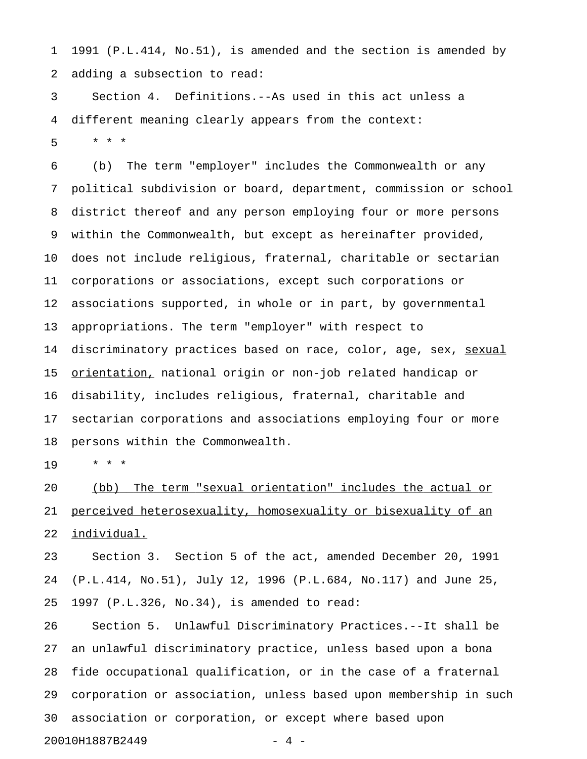1 1991 (P.L.414, No.51), is amended and the section is amended by 2 adding a subsection to read:

3 Section 4. Definitions.--As used in this act unless a 4 different meaning clearly appears from the context: 5 \* \* \*

6 (b) The term "employer" includes the Commonwealth or any 7 political subdivision or board, department, commission or school 8 district thereof and any person employing four or more persons 9 within the Commonwealth, but except as hereinafter provided, 10 does not include religious, fraternal, charitable or sectarian 11 corporations or associations, except such corporations or 12 associations supported, in whole or in part, by governmental 13 appropriations. The term "employer" with respect to 14 discriminatory practices based on race, color, age, sex, sexual 15 <u>orientation,</u> national origin or non-job related handicap or 16 disability, includes religious, fraternal, charitable and 17 sectarian corporations and associations employing four or more 18 persons within the Commonwealth.

19 \* \* \*

20 (bb) The term "sexual orientation" includes the actual or 21 perceived heterosexuality, homosexuality or bisexuality of an 22 individual.

23 Section 3. Section 5 of the act, amended December 20, 1991 24 (P.L.414, No.51), July 12, 1996 (P.L.684, No.117) and June 25, 25 1997 (P.L.326, No.34), is amended to read:

26 Section 5. Unlawful Discriminatory Practices.--It shall be 27 an unlawful discriminatory practice, unless based upon a bona 28 fide occupational qualification, or in the case of a fraternal 29 corporation or association, unless based upon membership in such 30 association or corporation, or except where based upon 20010H1887B2449 - 4 -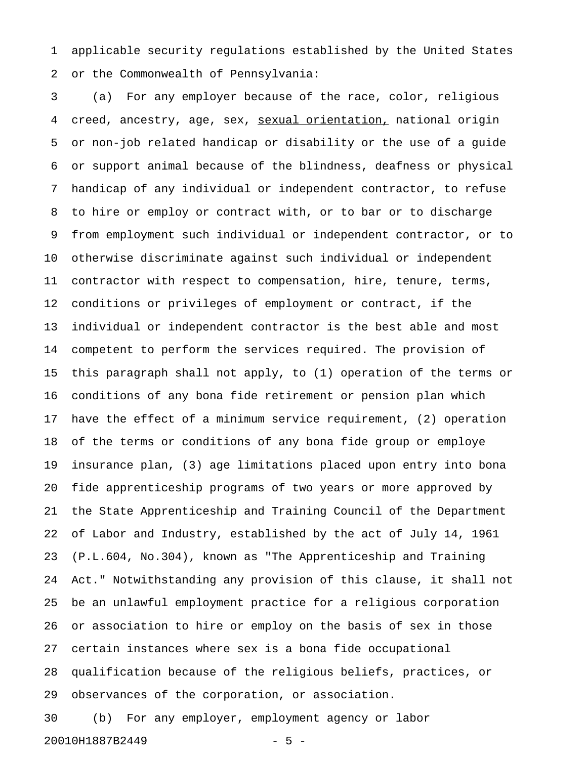1 applicable security regulations established by the United States 2 or the Commonwealth of Pennsylvania:

3 (a) For any employer because of the race, color, religious 4 creed, ancestry, age, sex, sexual orientation, national origin 5 or non-job related handicap or disability or the use of a guide 6 or support animal because of the blindness, deafness or physical 7 handicap of any individual or independent contractor, to refuse 8 to hire or employ or contract with, or to bar or to discharge 9 from employment such individual or independent contractor, or to 10 otherwise discriminate against such individual or independent 11 contractor with respect to compensation, hire, tenure, terms, 12 conditions or privileges of employment or contract, if the 13 individual or independent contractor is the best able and most 14 competent to perform the services required. The provision of 15 this paragraph shall not apply, to (1) operation of the terms or 16 conditions of any bona fide retirement or pension plan which 17 have the effect of a minimum service requirement, (2) operation 18 of the terms or conditions of any bona fide group or employe 19 insurance plan, (3) age limitations placed upon entry into bona 20 fide apprenticeship programs of two years or more approved by 21 the State Apprenticeship and Training Council of the Department 22 of Labor and Industry, established by the act of July 14, 1961 23 (P.L.604, No.304), known as "The Apprenticeship and Training 24 Act." Notwithstanding any provision of this clause, it shall not 25 be an unlawful employment practice for a religious corporation 26 or association to hire or employ on the basis of sex in those 27 certain instances where sex is a bona fide occupational 28 qualification because of the religious beliefs, practices, or 29 observances of the corporation, or association. 30 (b) For any employer, employment agency or labor

20010H1887B2449 - 5 -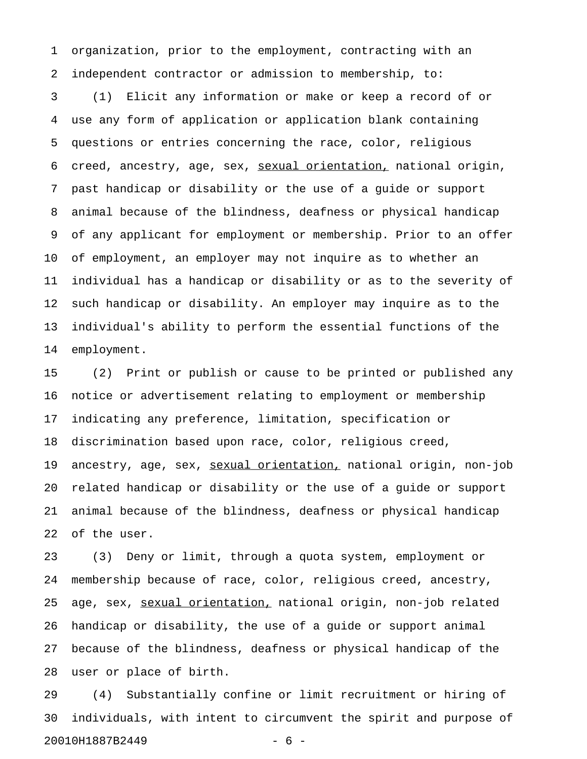1 organization, prior to the employment, contracting with an 2 independent contractor or admission to membership, to:

3 (1) Elicit any information or make or keep a record of or 4 use any form of application or application blank containing 5 questions or entries concerning the race, color, religious 6 creed, ancestry, age, sex, sexual orientation, national origin, 7 past handicap or disability or the use of a guide or support 8 animal because of the blindness, deafness or physical handicap 9 of any applicant for employment or membership. Prior to an offer 10 of employment, an employer may not inquire as to whether an 11 individual has a handicap or disability or as to the severity of 12 such handicap or disability. An employer may inquire as to the 13 individual's ability to perform the essential functions of the 14 employment.

15 (2) Print or publish or cause to be printed or published any 16 notice or advertisement relating to employment or membership 17 indicating any preference, limitation, specification or 18 discrimination based upon race, color, religious creed, 19 ancestry, age, sex, sexual orientation, national origin, non-job 20 related handicap or disability or the use of a guide or support 21 animal because of the blindness, deafness or physical handicap 22 of the user.

23 (3) Deny or limit, through a quota system, employment or 24 membership because of race, color, religious creed, ancestry, 25 age, sex, sexual orientation, national origin, non-job related 26 handicap or disability, the use of a guide or support animal 27 because of the blindness, deafness or physical handicap of the 28 user or place of birth.

29 (4) Substantially confine or limit recruitment or hiring of 30 individuals, with intent to circumvent the spirit and purpose of 20010H1887B2449 - 6 -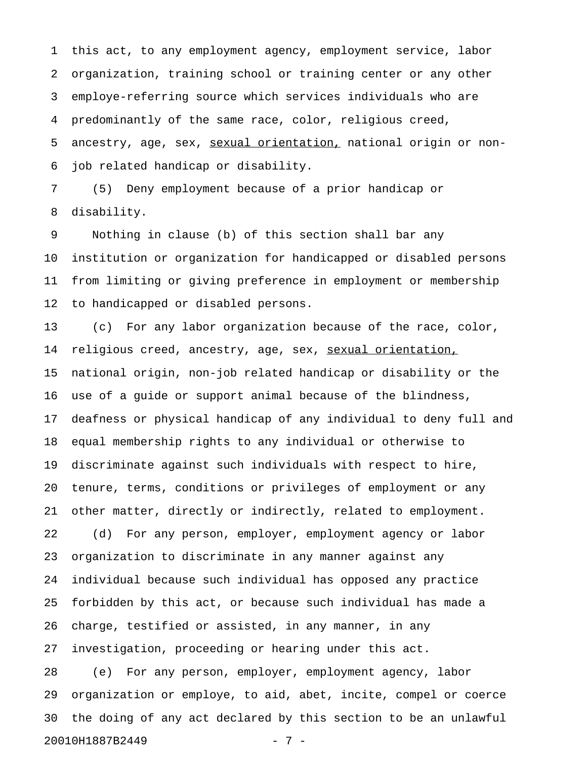1 this act, to any employment agency, employment service, labor 2 organization, training school or training center or any other 3 employe-referring source which services individuals who are 4 predominantly of the same race, color, religious creed, 5 ancestry, age, sex, sexual orientation, national origin or non-6 job related handicap or disability.

7 (5) Deny employment because of a prior handicap or 8 disability.

9 Nothing in clause (b) of this section shall bar any 10 institution or organization for handicapped or disabled persons 11 from limiting or giving preference in employment or membership 12 to handicapped or disabled persons.

13 (c) For any labor organization because of the race, color, 14 religious creed, ancestry, age, sex, sexual orientation, 15 national origin, non-job related handicap or disability or the 16 use of a guide or support animal because of the blindness, 17 deafness or physical handicap of any individual to deny full and 18 equal membership rights to any individual or otherwise to 19 discriminate against such individuals with respect to hire, 20 tenure, terms, conditions or privileges of employment or any 21 other matter, directly or indirectly, related to employment. 22 (d) For any person, employer, employment agency or labor 23 organization to discriminate in any manner against any 24 individual because such individual has opposed any practice 25 forbidden by this act, or because such individual has made a 26 charge, testified or assisted, in any manner, in any 27 investigation, proceeding or hearing under this act. 28 (e) For any person, employer, employment agency, labor

29 organization or employe, to aid, abet, incite, compel or coerce 30 the doing of any act declared by this section to be an unlawful 20010H1887B2449 - 7 -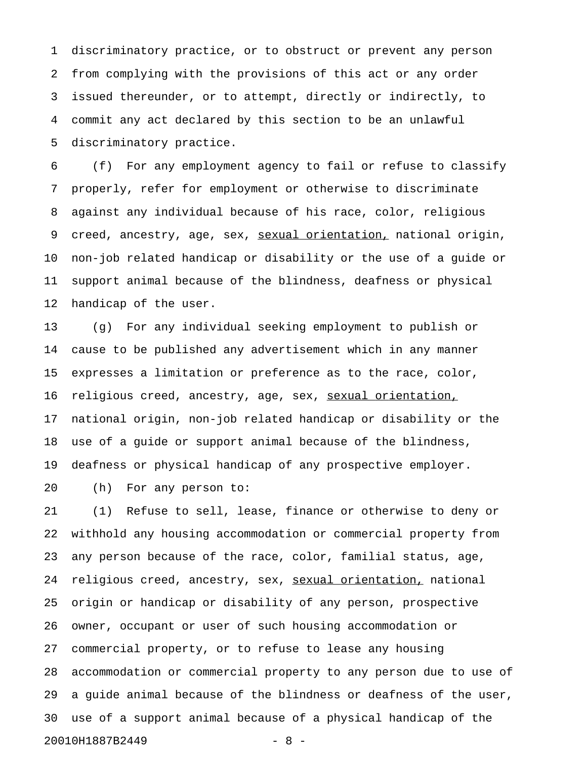1 discriminatory practice, or to obstruct or prevent any person 2 from complying with the provisions of this act or any order 3 issued thereunder, or to attempt, directly or indirectly, to 4 commit any act declared by this section to be an unlawful 5 discriminatory practice.

6 (f) For any employment agency to fail or refuse to classify 7 properly, refer for employment or otherwise to discriminate 8 against any individual because of his race, color, religious 9 creed, ancestry, age, sex, sexual orientation, national origin, 10 non-job related handicap or disability or the use of a guide or 11 support animal because of the blindness, deafness or physical 12 handicap of the user.

13 (g) For any individual seeking employment to publish or 14 cause to be published any advertisement which in any manner 15 expresses a limitation or preference as to the race, color, 16 religious creed, ancestry, age, sex, sexual orientation, 17 national origin, non-job related handicap or disability or the 18 use of a guide or support animal because of the blindness, 19 deafness or physical handicap of any prospective employer.

20 (h) For any person to:

21 (1) Refuse to sell, lease, finance or otherwise to deny or 22 withhold any housing accommodation or commercial property from 23 any person because of the race, color, familial status, age, 24 religious creed, ancestry, sex, sexual orientation, national 25 origin or handicap or disability of any person, prospective 26 owner, occupant or user of such housing accommodation or 27 commercial property, or to refuse to lease any housing 28 accommodation or commercial property to any person due to use of 29 a guide animal because of the blindness or deafness of the user, 30 use of a support animal because of a physical handicap of the 20010H1887B2449 - 8 -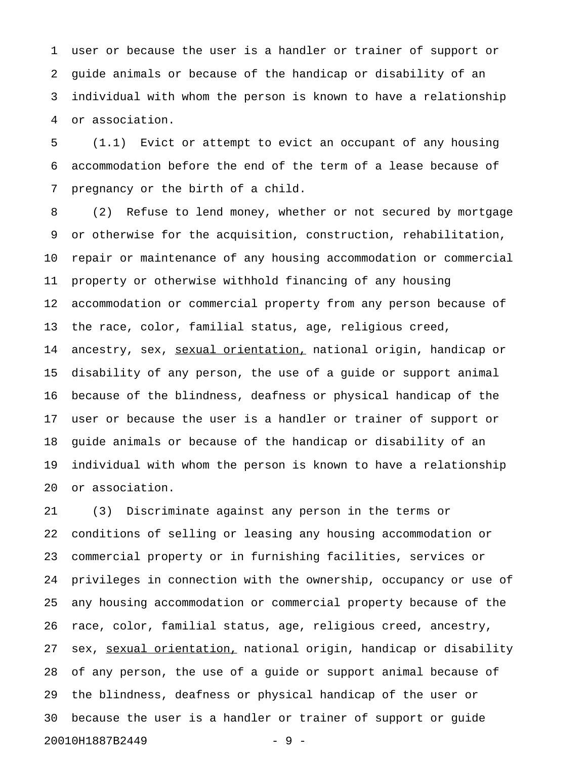1 user or because the user is a handler or trainer of support or 2 guide animals or because of the handicap or disability of an 3 individual with whom the person is known to have a relationship 4 or association.

5 (1.1) Evict or attempt to evict an occupant of any housing 6 accommodation before the end of the term of a lease because of 7 pregnancy or the birth of a child.

8 (2) Refuse to lend money, whether or not secured by mortgage 9 or otherwise for the acquisition, construction, rehabilitation, 10 repair or maintenance of any housing accommodation or commercial 11 property or otherwise withhold financing of any housing 12 accommodation or commercial property from any person because of 13 the race, color, familial status, age, religious creed, 14 ancestry, sex, sexual orientation, national origin, handicap or 15 disability of any person, the use of a guide or support animal 16 because of the blindness, deafness or physical handicap of the 17 user or because the user is a handler or trainer of support or 18 guide animals or because of the handicap or disability of an 19 individual with whom the person is known to have a relationship 20 or association.

21 (3) Discriminate against any person in the terms or 22 conditions of selling or leasing any housing accommodation or 23 commercial property or in furnishing facilities, services or 24 privileges in connection with the ownership, occupancy or use of 25 any housing accommodation or commercial property because of the 26 race, color, familial status, age, religious creed, ancestry, 27 sex, sexual orientation, national origin, handicap or disability 28 of any person, the use of a guide or support animal because of 29 the blindness, deafness or physical handicap of the user or 30 because the user is a handler or trainer of support or guide 20010H1887B2449 - 9 -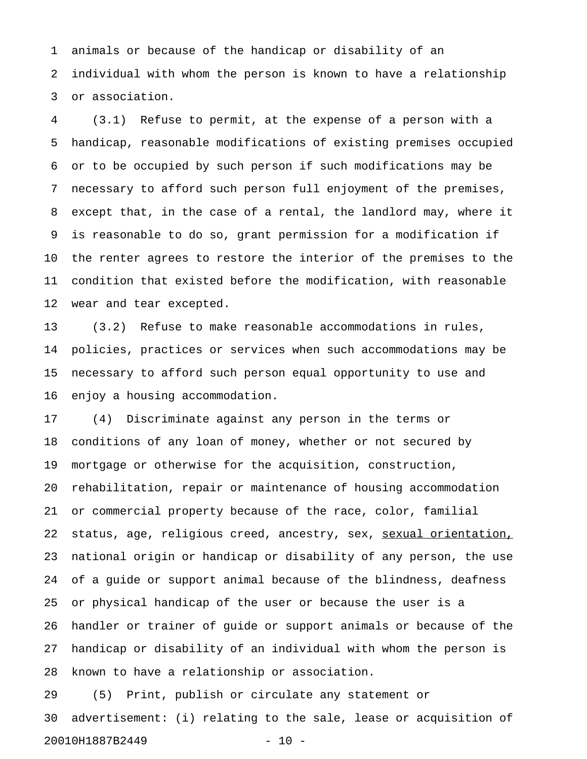1 animals or because of the handicap or disability of an 2 individual with whom the person is known to have a relationship 3 or association.

4 (3.1) Refuse to permit, at the expense of a person with a 5 handicap, reasonable modifications of existing premises occupied 6 or to be occupied by such person if such modifications may be 7 necessary to afford such person full enjoyment of the premises, 8 except that, in the case of a rental, the landlord may, where it 9 is reasonable to do so, grant permission for a modification if 10 the renter agrees to restore the interior of the premises to the 11 condition that existed before the modification, with reasonable 12 wear and tear excepted.

13 (3.2) Refuse to make reasonable accommodations in rules, 14 policies, practices or services when such accommodations may be 15 necessary to afford such person equal opportunity to use and 16 enjoy a housing accommodation.

17 (4) Discriminate against any person in the terms or 18 conditions of any loan of money, whether or not secured by 19 mortgage or otherwise for the acquisition, construction, 20 rehabilitation, repair or maintenance of housing accommodation 21 or commercial property because of the race, color, familial 22 status, age, religious creed, ancestry, sex, sexual orientation, 23 national origin or handicap or disability of any person, the use 24 of a guide or support animal because of the blindness, deafness 25 or physical handicap of the user or because the user is a 26 handler or trainer of guide or support animals or because of the 27 handicap or disability of an individual with whom the person is 28 known to have a relationship or association.

29 (5) Print, publish or circulate any statement or 30 advertisement: (i) relating to the sale, lease or acquisition of 20010H1887B2449 - 10 -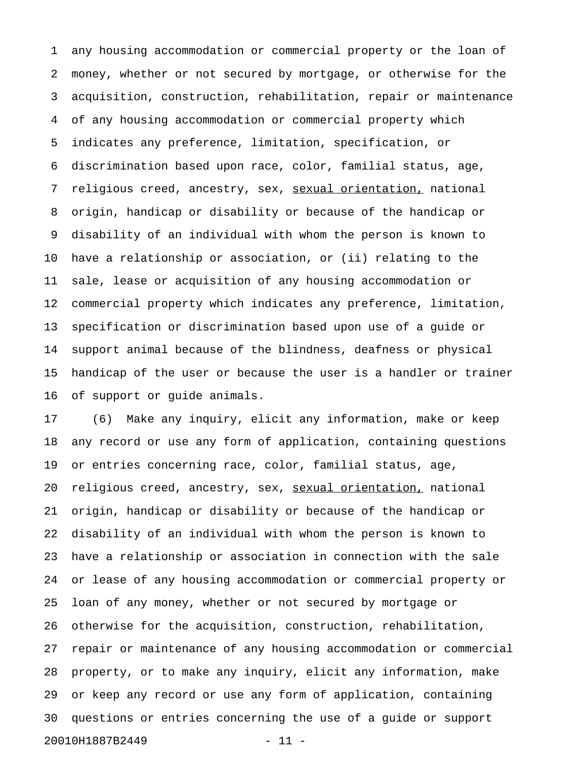1 any housing accommodation or commercial property or the loan of 2 money, whether or not secured by mortgage, or otherwise for the 3 acquisition, construction, rehabilitation, repair or maintenance 4 of any housing accommodation or commercial property which 5 indicates any preference, limitation, specification, or 6 discrimination based upon race, color, familial status, age, 7 religious creed, ancestry, sex, sexual orientation, national 8 origin, handicap or disability or because of the handicap or 9 disability of an individual with whom the person is known to 10 have a relationship or association, or (ii) relating to the 11 sale, lease or acquisition of any housing accommodation or 12 commercial property which indicates any preference, limitation, 13 specification or discrimination based upon use of a guide or 14 support animal because of the blindness, deafness or physical 15 handicap of the user or because the user is a handler or trainer 16 of support or guide animals.

17 (6) Make any inquiry, elicit any information, make or keep 18 any record or use any form of application, containing questions 19 or entries concerning race, color, familial status, age, 20 religious creed, ancestry, sex, sexual orientation, national 21 origin, handicap or disability or because of the handicap or 22 disability of an individual with whom the person is known to 23 have a relationship or association in connection with the sale 24 or lease of any housing accommodation or commercial property or 25 loan of any money, whether or not secured by mortgage or 26 otherwise for the acquisition, construction, rehabilitation, 27 repair or maintenance of any housing accommodation or commercial 28 property, or to make any inquiry, elicit any information, make 29 or keep any record or use any form of application, containing 30 questions or entries concerning the use of a guide or support 20010H1887B2449 - 11 -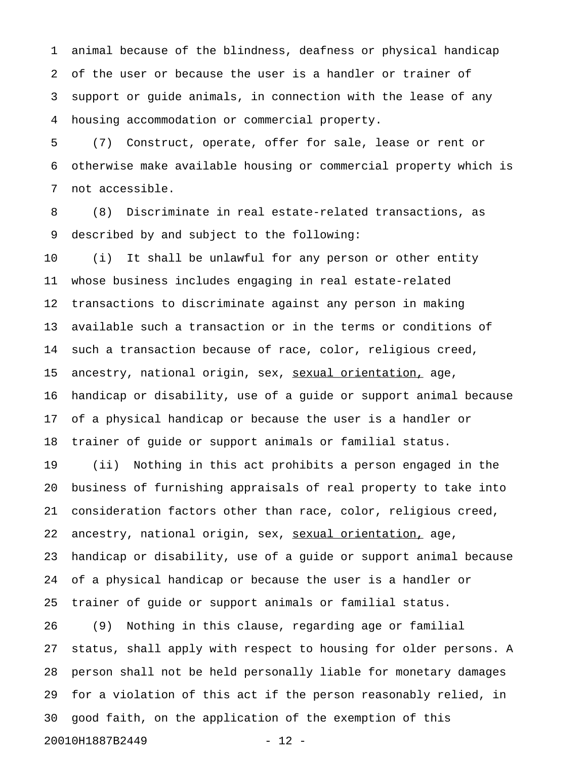1 animal because of the blindness, deafness or physical handicap 2 of the user or because the user is a handler or trainer of 3 support or guide animals, in connection with the lease of any 4 housing accommodation or commercial property.

5 (7) Construct, operate, offer for sale, lease or rent or 6 otherwise make available housing or commercial property which is 7 not accessible.

8 (8) Discriminate in real estate-related transactions, as 9 described by and subject to the following:

10 (i) It shall be unlawful for any person or other entity 11 whose business includes engaging in real estate-related 12 transactions to discriminate against any person in making 13 available such a transaction or in the terms or conditions of 14 such a transaction because of race, color, religious creed, 15 ancestry, national origin, sex, sexual orientation, age, 16 handicap or disability, use of a guide or support animal because 17 of a physical handicap or because the user is a handler or 18 trainer of guide or support animals or familial status.

19 (ii) Nothing in this act prohibits a person engaged in the 20 business of furnishing appraisals of real property to take into 21 consideration factors other than race, color, religious creed, 22 ancestry, national origin, sex, sexual orientation, age, 23 handicap or disability, use of a guide or support animal because 24 of a physical handicap or because the user is a handler or 25 trainer of guide or support animals or familial status.

26 (9) Nothing in this clause, regarding age or familial 27 status, shall apply with respect to housing for older persons. A 28 person shall not be held personally liable for monetary damages 29 for a violation of this act if the person reasonably relied, in 30 good faith, on the application of the exemption of this 20010H1887B2449 - 12 -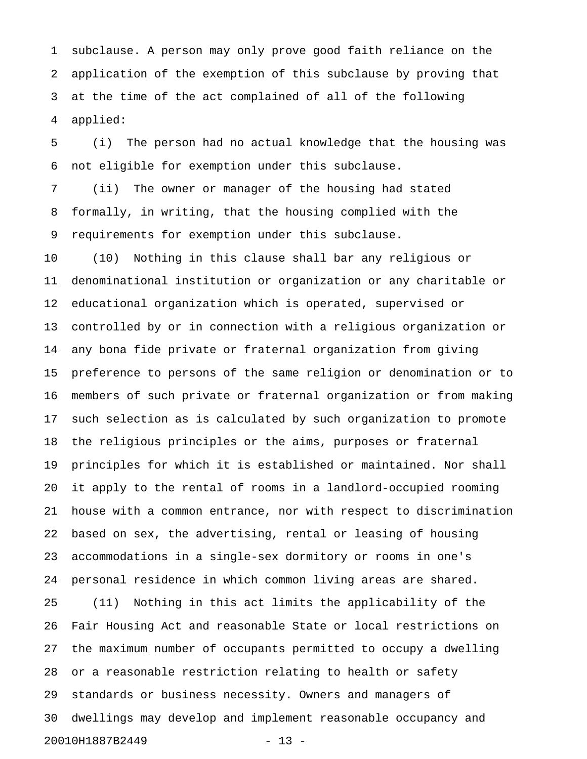1 subclause. A person may only prove good faith reliance on the 2 application of the exemption of this subclause by proving that 3 at the time of the act complained of all of the following 4 applied:

5 (i) The person had no actual knowledge that the housing was 6 not eligible for exemption under this subclause.

7 (ii) The owner or manager of the housing had stated 8 formally, in writing, that the housing complied with the 9 requirements for exemption under this subclause.

10 (10) Nothing in this clause shall bar any religious or 11 denominational institution or organization or any charitable or 12 educational organization which is operated, supervised or 13 controlled by or in connection with a religious organization or 14 any bona fide private or fraternal organization from giving 15 preference to persons of the same religion or denomination or to 16 members of such private or fraternal organization or from making 17 such selection as is calculated by such organization to promote 18 the religious principles or the aims, purposes or fraternal 19 principles for which it is established or maintained. Nor shall 20 it apply to the rental of rooms in a landlord-occupied rooming 21 house with a common entrance, nor with respect to discrimination 22 based on sex, the advertising, rental or leasing of housing 23 accommodations in a single-sex dormitory or rooms in one's 24 personal residence in which common living areas are shared. 25 (11) Nothing in this act limits the applicability of the 26 Fair Housing Act and reasonable State or local restrictions on 27 the maximum number of occupants permitted to occupy a dwelling 28 or a reasonable restriction relating to health or safety 29 standards or business necessity. Owners and managers of 30 dwellings may develop and implement reasonable occupancy and 20010H1887B2449 - 13 -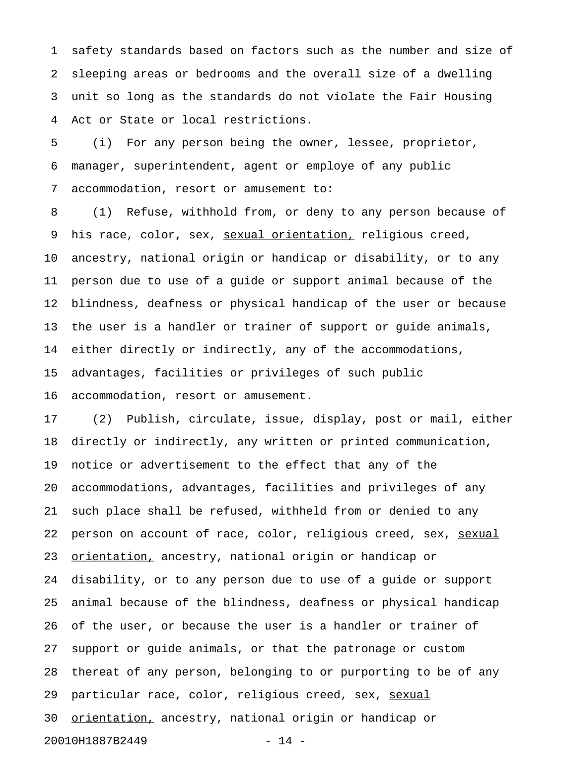1 safety standards based on factors such as the number and size of 2 sleeping areas or bedrooms and the overall size of a dwelling 3 unit so long as the standards do not violate the Fair Housing 4 Act or State or local restrictions.

5 (i) For any person being the owner, lessee, proprietor, 6 manager, superintendent, agent or employe of any public 7 accommodation, resort or amusement to:

8 (1) Refuse, withhold from, or deny to any person because of 9 his race, color, sex, <u>sexual orientation,</u> religious creed, 10 ancestry, national origin or handicap or disability, or to any 11 person due to use of a guide or support animal because of the 12 blindness, deafness or physical handicap of the user or because 13 the user is a handler or trainer of support or guide animals, 14 either directly or indirectly, any of the accommodations, 15 advantages, facilities or privileges of such public 16 accommodation, resort or amusement.

17 (2) Publish, circulate, issue, display, post or mail, either 18 directly or indirectly, any written or printed communication, 19 notice or advertisement to the effect that any of the 20 accommodations, advantages, facilities and privileges of any 21 such place shall be refused, withheld from or denied to any 22 person on account of race, color, religious creed, sex, sexual 23 orientation, ancestry, national origin or handicap or 24 disability, or to any person due to use of a guide or support 25 animal because of the blindness, deafness or physical handicap 26 of the user, or because the user is a handler or trainer of 27 support or guide animals, or that the patronage or custom 28 thereat of any person, belonging to or purporting to be of any 29 particular race, color, religious creed, sex, sexual 30 orientation, ancestry, national origin or handicap or 20010H1887B2449 - 14 -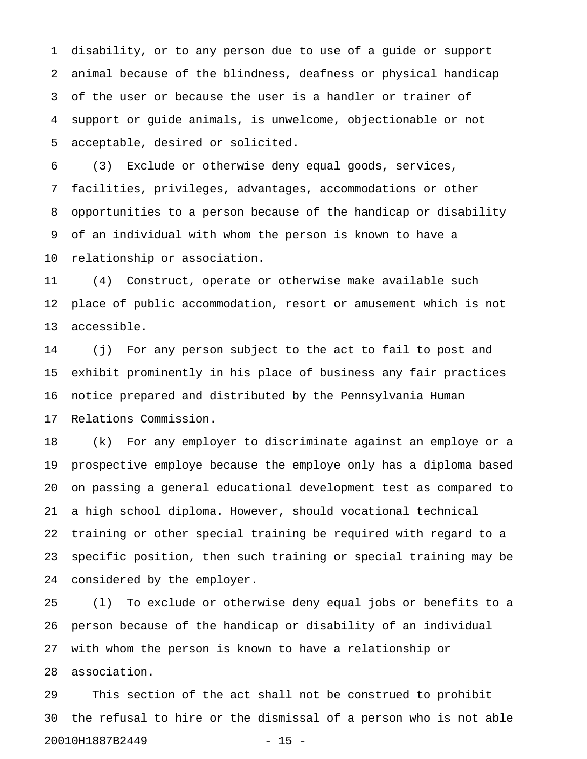1 disability, or to any person due to use of a guide or support 2 animal because of the blindness, deafness or physical handicap 3 of the user or because the user is a handler or trainer of 4 support or guide animals, is unwelcome, objectionable or not 5 acceptable, desired or solicited.

6 (3) Exclude or otherwise deny equal goods, services, 7 facilities, privileges, advantages, accommodations or other 8 opportunities to a person because of the handicap or disability 9 of an individual with whom the person is known to have a 10 relationship or association.

11 (4) Construct, operate or otherwise make available such 12 place of public accommodation, resort or amusement which is not 13 accessible.

14 (j) For any person subject to the act to fail to post and 15 exhibit prominently in his place of business any fair practices 16 notice prepared and distributed by the Pennsylvania Human 17 Relations Commission.

18 (k) For any employer to discriminate against an employe or a 19 prospective employe because the employe only has a diploma based 20 on passing a general educational development test as compared to 21 a high school diploma. However, should vocational technical 22 training or other special training be required with regard to a 23 specific position, then such training or special training may be 24 considered by the employer.

25 (l) To exclude or otherwise deny equal jobs or benefits to a 26 person because of the handicap or disability of an individual 27 with whom the person is known to have a relationship or 28 association.

29 This section of the act shall not be construed to prohibit 30 the refusal to hire or the dismissal of a person who is not able 20010H1887B2449 - 15 -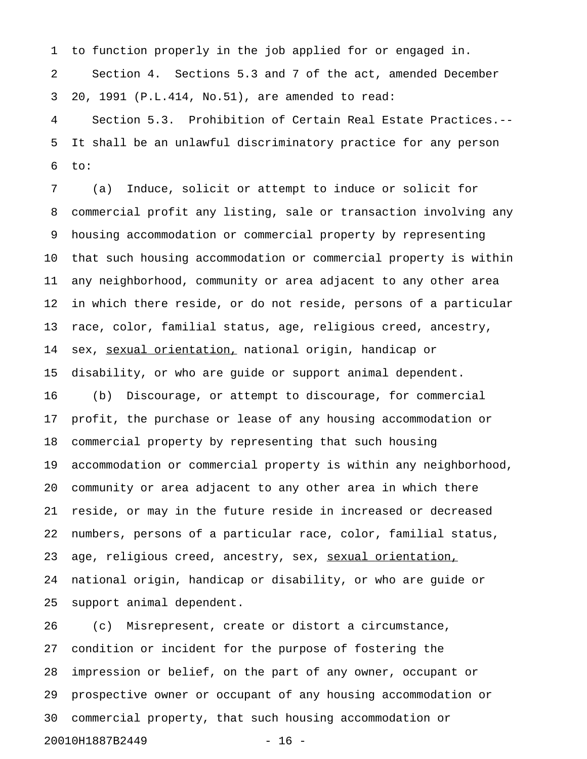1 to function properly in the job applied for or engaged in. 2 Section 4. Sections 5.3 and 7 of the act, amended December 3 20, 1991 (P.L.414, No.51), are amended to read: 4 Section 5.3. Prohibition of Certain Real Estate Practices.-- 5 It shall be an unlawful discriminatory practice for any person 6 to:

7 (a) Induce, solicit or attempt to induce or solicit for 8 commercial profit any listing, sale or transaction involving any 9 housing accommodation or commercial property by representing 10 that such housing accommodation or commercial property is within 11 any neighborhood, community or area adjacent to any other area 12 in which there reside, or do not reside, persons of a particular 13 race, color, familial status, age, religious creed, ancestry, 14 sex, sexual orientation, national origin, handicap or 15 disability, or who are guide or support animal dependent. 16 (b) Discourage, or attempt to discourage, for commercial 17 profit, the purchase or lease of any housing accommodation or 18 commercial property by representing that such housing 19 accommodation or commercial property is within any neighborhood, 20 community or area adjacent to any other area in which there 21 reside, or may in the future reside in increased or decreased 22 numbers, persons of a particular race, color, familial status, 23 age, religious creed, ancestry, sex, sexual orientation, 24 national origin, handicap or disability, or who are guide or 25 support animal dependent.

26 (c) Misrepresent, create or distort a circumstance, 27 condition or incident for the purpose of fostering the 28 impression or belief, on the part of any owner, occupant or 29 prospective owner or occupant of any housing accommodation or 30 commercial property, that such housing accommodation or 20010H1887B2449 - 16 -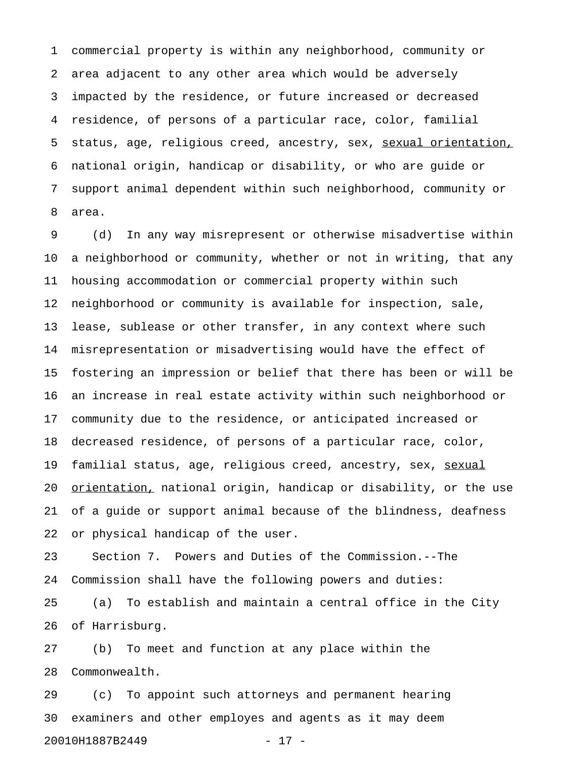1 commercial property is within any neighborhood, community or 2 area adjacent to any other area which would be adversely 3 impacted by the residence, or future increased or decreased 4 residence, of persons of a particular race, color, familial 5 status, age, religious creed, ancestry, sex, sexual orientation, 6 national origin, handicap or disability, or who are guide or 7 support animal dependent within such neighborhood, community or 8 area.

9 (d) In any way misrepresent or otherwise misadvertise within 10 a neighborhood or community, whether or not in writing, that any 11 housing accommodation or commercial property within such 12 neighborhood or community is available for inspection, sale, 13 lease, sublease or other transfer, in any context where such 14 misrepresentation or misadvertising would have the effect of 15 fostering an impression or belief that there has been or will be 16 an increase in real estate activity within such neighborhood or 17 community due to the residence, or anticipated increased or 18 decreased residence, of persons of a particular race, color, 19 familial status, age, religious creed, ancestry, sex, sexual 20 <u>orientation,</u> national origin, handicap or disability, or the use 21 of a guide or support animal because of the blindness, deafness 22 or physical handicap of the user.

23 Section 7. Powers and Duties of the Commission.--The 24 Commission shall have the following powers and duties:

25 (a) To establish and maintain a central office in the City 26 of Harrisburg.

27 (b) To meet and function at any place within the 28 Commonwealth.

29 (c) To appoint such attorneys and permanent hearing 30 examiners and other employes and agents as it may deem 20010H1887B2449 - 17 -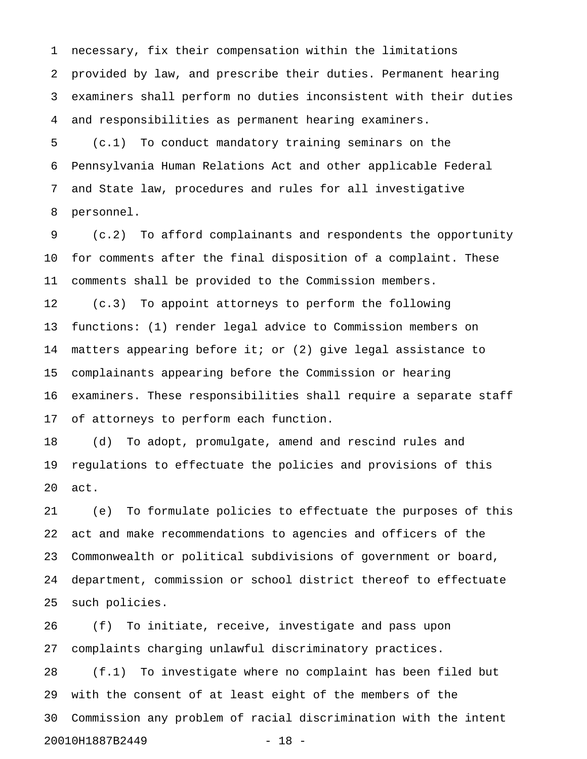1 necessary, fix their compensation within the limitations 2 provided by law, and prescribe their duties. Permanent hearing 3 examiners shall perform no duties inconsistent with their duties 4 and responsibilities as permanent hearing examiners.

5 (c.1) To conduct mandatory training seminars on the 6 Pennsylvania Human Relations Act and other applicable Federal 7 and State law, procedures and rules for all investigative 8 personnel.

9 (c.2) To afford complainants and respondents the opportunity 10 for comments after the final disposition of a complaint. These 11 comments shall be provided to the Commission members. 12 (c.3) To appoint attorneys to perform the following 13 functions: (1) render legal advice to Commission members on 14 matters appearing before it; or (2) give legal assistance to 15 complainants appearing before the Commission or hearing 16 examiners. These responsibilities shall require a separate staff 17 of attorneys to perform each function.

18 (d) To adopt, promulgate, amend and rescind rules and 19 regulations to effectuate the policies and provisions of this 20 act.

21 (e) To formulate policies to effectuate the purposes of this 22 act and make recommendations to agencies and officers of the 23 Commonwealth or political subdivisions of government or board, 24 department, commission or school district thereof to effectuate 25 such policies.

26 (f) To initiate, receive, investigate and pass upon 27 complaints charging unlawful discriminatory practices.

28 (f.1) To investigate where no complaint has been filed but 29 with the consent of at least eight of the members of the 30 Commission any problem of racial discrimination with the intent 20010H1887B2449 - 18 -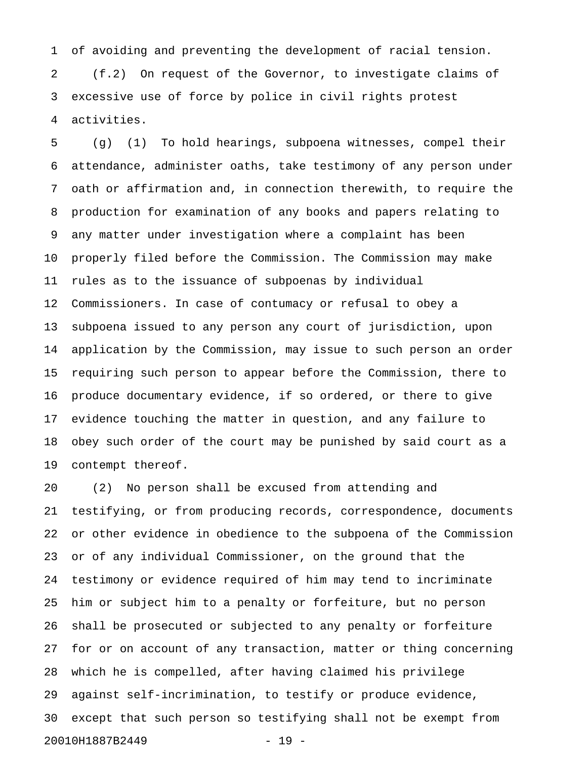1 of avoiding and preventing the development of racial tension. 2 (f.2) On request of the Governor, to investigate claims of 3 excessive use of force by police in civil rights protest 4 activities.

5 (g) (1) To hold hearings, subpoena witnesses, compel their 6 attendance, administer oaths, take testimony of any person under 7 oath or affirmation and, in connection therewith, to require the 8 production for examination of any books and papers relating to 9 any matter under investigation where a complaint has been 10 properly filed before the Commission. The Commission may make 11 rules as to the issuance of subpoenas by individual 12 Commissioners. In case of contumacy or refusal to obey a 13 subpoena issued to any person any court of jurisdiction, upon 14 application by the Commission, may issue to such person an order 15 requiring such person to appear before the Commission, there to 16 produce documentary evidence, if so ordered, or there to give 17 evidence touching the matter in question, and any failure to 18 obey such order of the court may be punished by said court as a 19 contempt thereof.

20 (2) No person shall be excused from attending and 21 testifying, or from producing records, correspondence, documents 22 or other evidence in obedience to the subpoena of the Commission 23 or of any individual Commissioner, on the ground that the 24 testimony or evidence required of him may tend to incriminate 25 him or subject him to a penalty or forfeiture, but no person 26 shall be prosecuted or subjected to any penalty or forfeiture 27 for or on account of any transaction, matter or thing concerning 28 which he is compelled, after having claimed his privilege 29 against self-incrimination, to testify or produce evidence, 30 except that such person so testifying shall not be exempt from 20010H1887B2449 - 19 -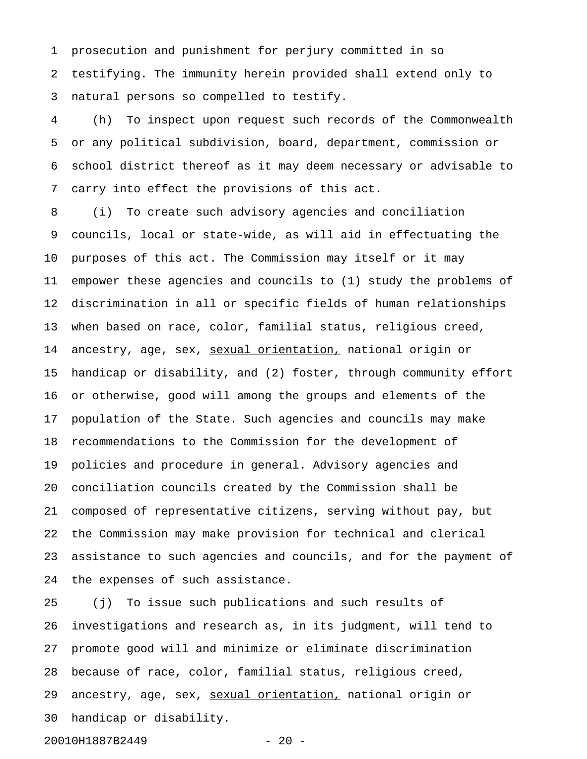1 prosecution and punishment for perjury committed in so 2 testifying. The immunity herein provided shall extend only to 3 natural persons so compelled to testify.

4 (h) To inspect upon request such records of the Commonwealth 5 or any political subdivision, board, department, commission or 6 school district thereof as it may deem necessary or advisable to 7 carry into effect the provisions of this act.

8 (i) To create such advisory agencies and conciliation 9 councils, local or state-wide, as will aid in effectuating the 10 purposes of this act. The Commission may itself or it may 11 empower these agencies and councils to (1) study the problems of 12 discrimination in all or specific fields of human relationships 13 when based on race, color, familial status, religious creed, 14 ancestry, age, sex, sexual orientation, national origin or 15 handicap or disability, and (2) foster, through community effort 16 or otherwise, good will among the groups and elements of the 17 population of the State. Such agencies and councils may make 18 recommendations to the Commission for the development of 19 policies and procedure in general. Advisory agencies and 20 conciliation councils created by the Commission shall be 21 composed of representative citizens, serving without pay, but 22 the Commission may make provision for technical and clerical 23 assistance to such agencies and councils, and for the payment of 24 the expenses of such assistance.

25 (j) To issue such publications and such results of 26 investigations and research as, in its judgment, will tend to 27 promote good will and minimize or eliminate discrimination 28 because of race, color, familial status, religious creed, 29 ancestry, age, sex, sexual orientation, national origin or 30 handicap or disability.

20010H1887B2449 - 20 -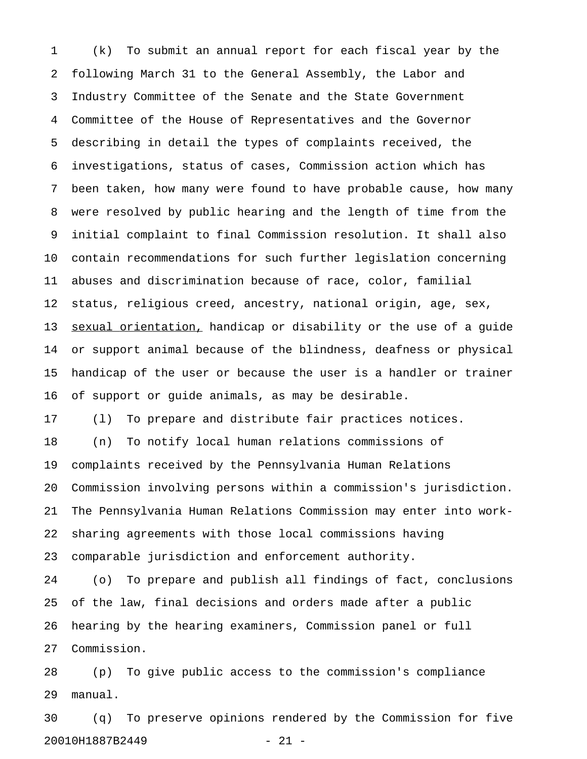1 (k) To submit an annual report for each fiscal year by the 2 following March 31 to the General Assembly, the Labor and 3 Industry Committee of the Senate and the State Government 4 Committee of the House of Representatives and the Governor 5 describing in detail the types of complaints received, the 6 investigations, status of cases, Commission action which has 7 been taken, how many were found to have probable cause, how many 8 were resolved by public hearing and the length of time from the 9 initial complaint to final Commission resolution. It shall also 10 contain recommendations for such further legislation concerning 11 abuses and discrimination because of race, color, familial 12 status, religious creed, ancestry, national origin, age, sex, 13 sexual orientation, handicap or disability or the use of a guide 14 or support animal because of the blindness, deafness or physical 15 handicap of the user or because the user is a handler or trainer 16 of support or guide animals, as may be desirable. 17 (l) To prepare and distribute fair practices notices. 18 (n) To notify local human relations commissions of 19 complaints received by the Pennsylvania Human Relations 20 Commission involving persons within a commission's jurisdiction. 21 The Pennsylvania Human Relations Commission may enter into work-22 sharing agreements with those local commissions having

23 comparable jurisdiction and enforcement authority.

24 (o) To prepare and publish all findings of fact, conclusions 25 of the law, final decisions and orders made after a public 26 hearing by the hearing examiners, Commission panel or full 27 Commission.

28 (p) To give public access to the commission's compliance 29 manual.

30 (q) To preserve opinions rendered by the Commission for five 20010H1887B2449 - 21 -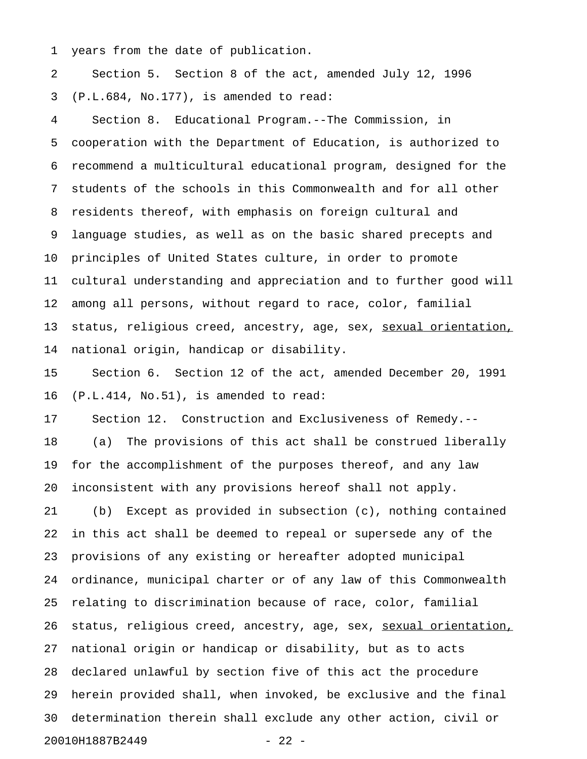1 years from the date of publication.

2 Section 5. Section 8 of the act, amended July 12, 1996 3 (P.L.684, No.177), is amended to read:

4 Section 8. Educational Program.--The Commission, in 5 cooperation with the Department of Education, is authorized to 6 recommend a multicultural educational program, designed for the 7 students of the schools in this Commonwealth and for all other 8 residents thereof, with emphasis on foreign cultural and 9 language studies, as well as on the basic shared precepts and 10 principles of United States culture, in order to promote 11 cultural understanding and appreciation and to further good will 12 among all persons, without regard to race, color, familial 13 status, religious creed, ancestry, age, sex, sexual orientation, 14 national origin, handicap or disability.

15 Section 6. Section 12 of the act, amended December 20, 1991 16 (P.L.414, No.51), is amended to read:

17 Section 12. Construction and Exclusiveness of Remedy.-- 18 (a) The provisions of this act shall be construed liberally 19 for the accomplishment of the purposes thereof, and any law 20 inconsistent with any provisions hereof shall not apply.

21 (b) Except as provided in subsection (c), nothing contained 22 in this act shall be deemed to repeal or supersede any of the 23 provisions of any existing or hereafter adopted municipal 24 ordinance, municipal charter or of any law of this Commonwealth 25 relating to discrimination because of race, color, familial 26 status, religious creed, ancestry, age, sex, sexual orientation, 27 national origin or handicap or disability, but as to acts 28 declared unlawful by section five of this act the procedure 29 herein provided shall, when invoked, be exclusive and the final 30 determination therein shall exclude any other action, civil or 20010H1887B2449 - 22 -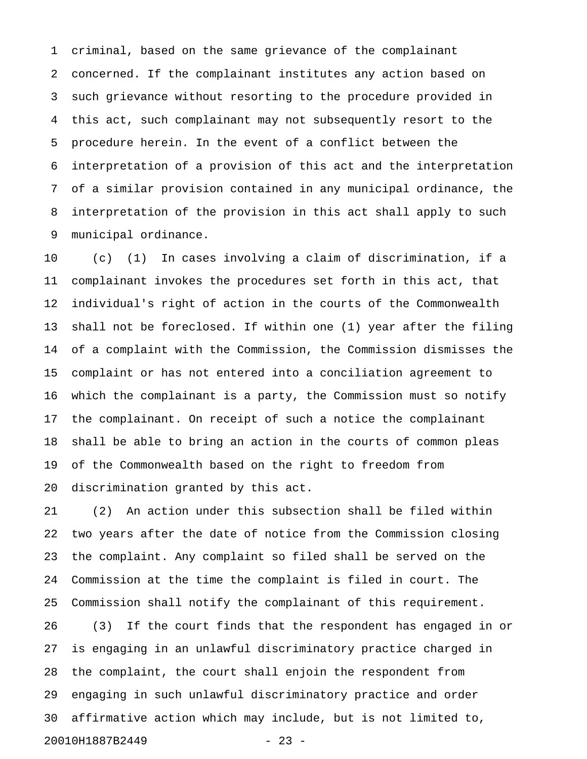1 criminal, based on the same grievance of the complainant 2 concerned. If the complainant institutes any action based on 3 such grievance without resorting to the procedure provided in 4 this act, such complainant may not subsequently resort to the 5 procedure herein. In the event of a conflict between the 6 interpretation of a provision of this act and the interpretation 7 of a similar provision contained in any municipal ordinance, the 8 interpretation of the provision in this act shall apply to such 9 municipal ordinance.

10 (c) (1) In cases involving a claim of discrimination, if a 11 complainant invokes the procedures set forth in this act, that 12 individual's right of action in the courts of the Commonwealth 13 shall not be foreclosed. If within one (1) year after the filing 14 of a complaint with the Commission, the Commission dismisses the 15 complaint or has not entered into a conciliation agreement to 16 which the complainant is a party, the Commission must so notify 17 the complainant. On receipt of such a notice the complainant 18 shall be able to bring an action in the courts of common pleas 19 of the Commonwealth based on the right to freedom from 20 discrimination granted by this act.

21 (2) An action under this subsection shall be filed within 22 two years after the date of notice from the Commission closing 23 the complaint. Any complaint so filed shall be served on the 24 Commission at the time the complaint is filed in court. The 25 Commission shall notify the complainant of this requirement. 26 (3) If the court finds that the respondent has engaged in or 27 is engaging in an unlawful discriminatory practice charged in 28 the complaint, the court shall enjoin the respondent from 29 engaging in such unlawful discriminatory practice and order 30 affirmative action which may include, but is not limited to, 20010H1887B2449 - 23 -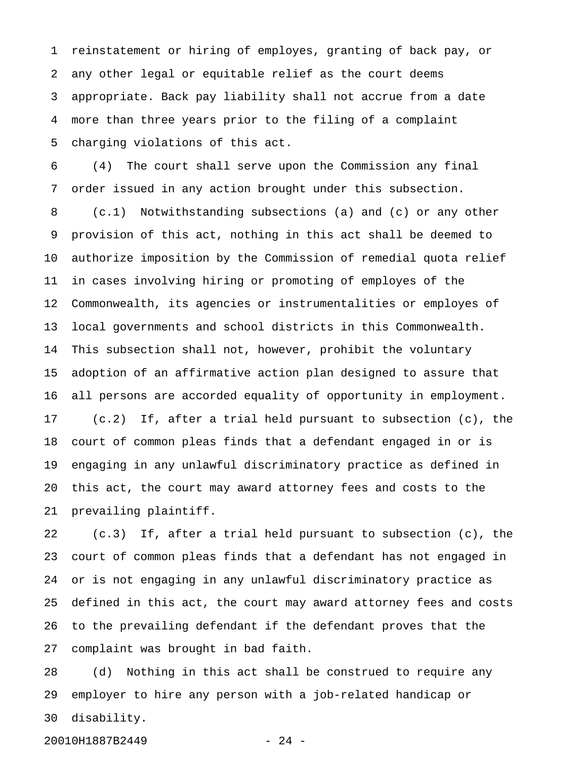1 reinstatement or hiring of employes, granting of back pay, or 2 any other legal or equitable relief as the court deems 3 appropriate. Back pay liability shall not accrue from a date 4 more than three years prior to the filing of a complaint 5 charging violations of this act.

6 (4) The court shall serve upon the Commission any final 7 order issued in any action brought under this subsection. 8 (c.1) Notwithstanding subsections (a) and (c) or any other 9 provision of this act, nothing in this act shall be deemed to 10 authorize imposition by the Commission of remedial quota relief 11 in cases involving hiring or promoting of employes of the 12 Commonwealth, its agencies or instrumentalities or employes of 13 local governments and school districts in this Commonwealth. 14 This subsection shall not, however, prohibit the voluntary 15 adoption of an affirmative action plan designed to assure that 16 all persons are accorded equality of opportunity in employment. 17 (c.2) If, after a trial held pursuant to subsection (c), the 18 court of common pleas finds that a defendant engaged in or is 19 engaging in any unlawful discriminatory practice as defined in 20 this act, the court may award attorney fees and costs to the 21 prevailing plaintiff.

22 (c.3) If, after a trial held pursuant to subsection (c), the 23 court of common pleas finds that a defendant has not engaged in 24 or is not engaging in any unlawful discriminatory practice as 25 defined in this act, the court may award attorney fees and costs 26 to the prevailing defendant if the defendant proves that the 27 complaint was brought in bad faith.

28 (d) Nothing in this act shall be construed to require any 29 employer to hire any person with a job-related handicap or 30 disability.

20010H1887B2449 - 24 -